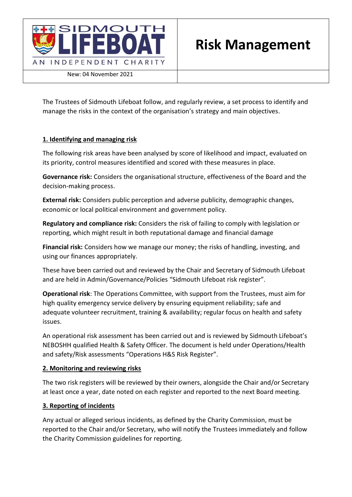

New: 04 November 2021

The Trustees of Sidmouth Lifeboat follow, and regularly review, a set process to identify and manage the risks in the context of the organisation's strategy and main objectives.

## **1. Identifying and managing risk**

The following risk areas have been analysed by score of likelihood and impact, evaluated on its priority, control measures identified and scored with these measures in place.

**Governance risk:** Considers the organisational structure, effectiveness of the Board and the decision-making process.

**External risk:** Considers public perception and adverse publicity, demographic changes, economic or local political environment and government policy.

**Regulatory and compliance risk:** Considers the risk of failing to comply with legislation or reporting, which might result in both reputational damage and financial damage

**Financial risk:** Considers how we manage our money; the risks of handling, investing, and using our finances appropriately.

These have been carried out and reviewed by the Chair and Secretary of Sidmouth Lifeboat and are held in Admin/Governance/Policies "Sidmouth Lifeboat risk register".

**Operational risk**: The Operations Committee, with support from the Trustees, must aim for high quality emergency service delivery by ensuring equipment reliability; safe and adequate volunteer recruitment, training & availability; regular focus on health and safety issues.

An operational risk assessment has been carried out and is reviewed by Sidmouth Lifeboat's NEBOSHH qualified Health & Safety Officer. The document is held under Operations/Health and safety/Risk assessments "Operations H&S Risk Register".

## **2. Monitoring and reviewing risks**

The two risk registers will be reviewed by their owners, alongside the Chair and/or Secretary at least once a year, date noted on each register and reported to the next Board meeting.

## **3. Reporting of incidents**

Any actual or alleged serious incidents, as defined by the Charity Commission, must be reported to the Chair and/or Secretary, who will notify the Trustees immediately and follow the Charity Commission guidelines for reporting.